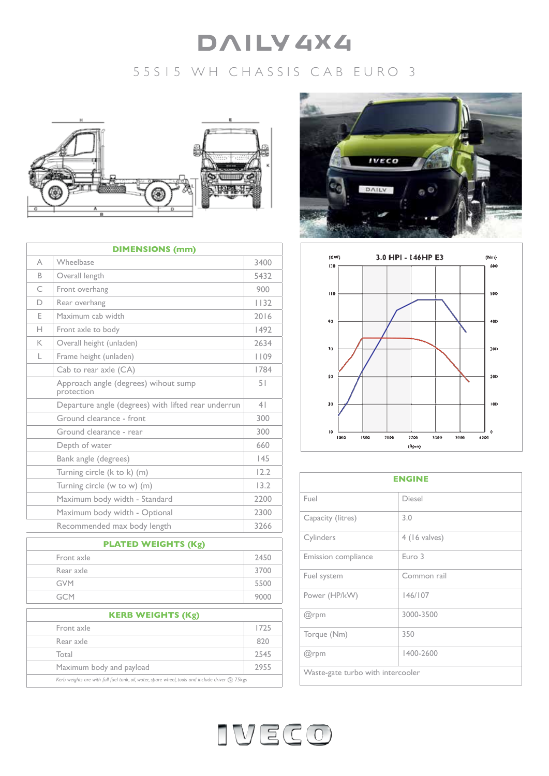# **DAILY 4X4**

# 55S15 WH CHASSIS CAB EURO 3



| <b>DIMENSIONS (mm)</b> |                                                     |                |  |  |
|------------------------|-----------------------------------------------------|----------------|--|--|
| A                      | Wheelbase                                           | 3400           |  |  |
| R.                     | Overall length                                      | 5432           |  |  |
| C                      | Front overhang                                      | 900            |  |  |
| D                      | Rear overhang                                       | 1132           |  |  |
| E                      | Maximum cab width                                   | 2016           |  |  |
| н                      | Front axle to body                                  | 1492           |  |  |
| K                      | Overall height (unladen)                            | 2634           |  |  |
| L                      | Frame height (unladen)                              | 1109           |  |  |
|                        | Cab to rear axle (CA)                               | 1784           |  |  |
|                        | Approach angle (degrees) wihout sump<br>protection  | 51             |  |  |
|                        | Departure angle (degrees) with lifted rear underrun | 4 <sub>1</sub> |  |  |
|                        | Ground clearance - front                            | 300            |  |  |
|                        | Ground clearance - rear                             | 300            |  |  |
|                        | Depth of water                                      | 660            |  |  |
|                        | Bank angle (degrees)                                | 145            |  |  |
|                        | Turning circle (k to k) (m)                         | 12.2           |  |  |
|                        | Turning circle (w to w) (m)                         | 13.2           |  |  |
|                        | Maximum body width - Standard                       | 2200           |  |  |
|                        | Maximum body width - Optional                       | 2300           |  |  |
|                        | Recommended max body length                         | 3266           |  |  |

| <b>PLATED WEIGHTS (Kg)</b>                                                                      |      |  |
|-------------------------------------------------------------------------------------------------|------|--|
| Front axle                                                                                      | 2450 |  |
| Rear axle                                                                                       | 3700 |  |
| <b>GVM</b>                                                                                      | 5500 |  |
| <b>GCM</b>                                                                                      | 9000 |  |
| <b>KERB WEIGHTS (Kg)</b>                                                                        |      |  |
| Front axle                                                                                      | 1725 |  |
| Rear axle                                                                                       | 820  |  |
| Total                                                                                           | 2545 |  |
| Maximum body and payload                                                                        | 2955 |  |
| Kerb weights are with full fuel tank, oil, water, spare wheel, tools and include driver @ 75kgs |      |  |



![](_page_0_Figure_6.jpeg)

| <b>ENGINE</b>                     |                 |  |
|-----------------------------------|-----------------|--|
| Fuel                              | Diesel          |  |
| Capacity (litres)                 | 3.0             |  |
| Cylinders                         | $4$ (16 valves) |  |
| Emission compliance               | Euro 3          |  |
| Fuel system                       | Common rail     |  |
| Power (HP/kW)                     | 146/107         |  |
| @rpm                              | 3000-3500       |  |
| Torque (Nm)                       | 350             |  |
| @rpm                              | 1400-2600       |  |
| Waste-gate turbo with intercooler |                 |  |

![](_page_0_Picture_8.jpeg)